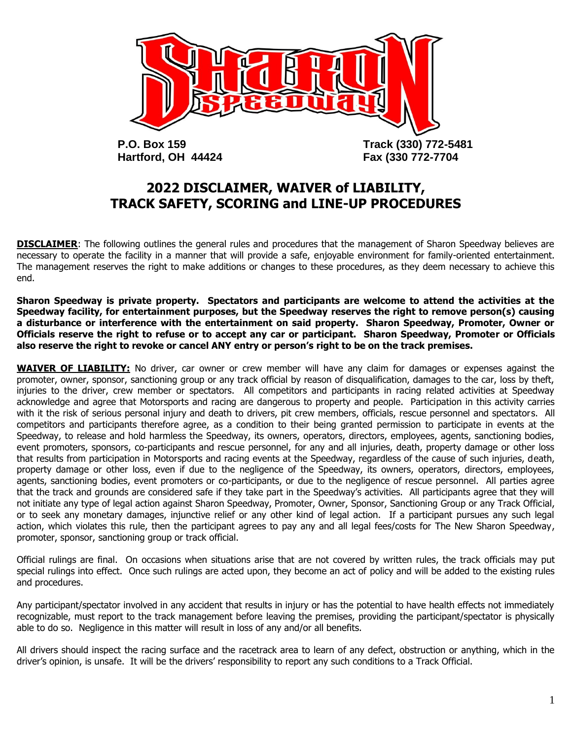

**Hartford, OH 44424 Fax (330 772-7704**

# **2022 DISCLAIMER, WAIVER of LIABILITY, TRACK SAFETY, SCORING and LINE-UP PROCEDURES**

**DISCLAIMER:** The following outlines the general rules and procedures that the management of Sharon Speedway believes are necessary to operate the facility in a manner that will provide a safe, enjoyable environment for family-oriented entertainment. The management reserves the right to make additions or changes to these procedures, as they deem necessary to achieve this end.

**Sharon Speedway is private property. Spectators and participants are welcome to attend the activities at the Speedway facility, for entertainment purposes, but the Speedway reserves the right to remove person(s) causing a disturbance or interference with the entertainment on said property. Sharon Speedway, Promoter, Owner or Officials reserve the right to refuse or to accept any car or participant. Sharon Speedway, Promoter or Officials also reserve the right to revoke or cancel ANY entry or person's right to be on the track premises.**

**WAIVER OF LIABILITY:** No driver, car owner or crew member will have any claim for damages or expenses against the promoter, owner, sponsor, sanctioning group or any track official by reason of disqualification, damages to the car, loss by theft, injuries to the driver, crew member or spectators. All competitors and participants in racing related activities at Speedway acknowledge and agree that Motorsports and racing are dangerous to property and people. Participation in this activity carries with it the risk of serious personal injury and death to drivers, pit crew members, officials, rescue personnel and spectators. All competitors and participants therefore agree, as a condition to their being granted permission to participate in events at the Speedway, to release and hold harmless the Speedway, its owners, operators, directors, employees, agents, sanctioning bodies, event promoters, sponsors, co-participants and rescue personnel, for any and all injuries, death, property damage or other loss that results from participation in Motorsports and racing events at the Speedway, regardless of the cause of such injuries, death, property damage or other loss, even if due to the negligence of the Speedway, its owners, operators, directors, employees, agents, sanctioning bodies, event promoters or co-participants, or due to the negligence of rescue personnel. All parties agree that the track and grounds are considered safe if they take part in the Speedway's activities. All participants agree that they will not initiate any type of legal action against Sharon Speedway, Promoter, Owner, Sponsor, Sanctioning Group or any Track Official, or to seek any monetary damages, injunctive relief or any other kind of legal action. If a participant pursues any such legal action, which violates this rule, then the participant agrees to pay any and all legal fees/costs for The New Sharon Speedway, promoter, sponsor, sanctioning group or track official.

Official rulings are final. On occasions when situations arise that are not covered by written rules, the track officials may put special rulings into effect. Once such rulings are acted upon, they become an act of policy and will be added to the existing rules and procedures.

Any participant/spectator involved in any accident that results in injury or has the potential to have health effects not immediately recognizable, must report to the track management before leaving the premises, providing the participant/spectator is physically able to do so. Negligence in this matter will result in loss of any and/or all benefits.

All drivers should inspect the racing surface and the racetrack area to learn of any defect, obstruction or anything, which in the driver's opinion, is unsafe. It will be the drivers' responsibility to report any such conditions to a Track Official.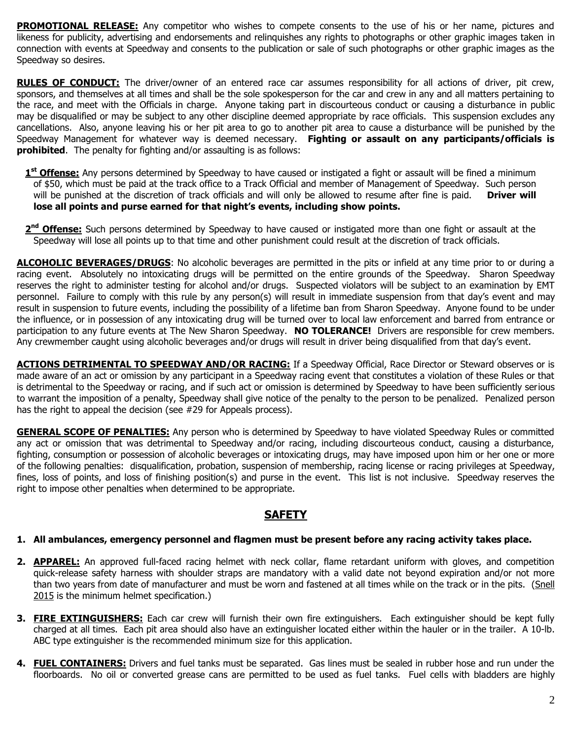**PROMOTIONAL RELEASE:** Any competitor who wishes to compete consents to the use of his or her name, pictures and likeness for publicity, advertising and endorsements and relinquishes any rights to photographs or other graphic images taken in connection with events at Speedway and consents to the publication or sale of such photographs or other graphic images as the Speedway so desires.

**RULES OF CONDUCT:** The driver/owner of an entered race car assumes responsibility for all actions of driver, pit crew, sponsors, and themselves at all times and shall be the sole spokesperson for the car and crew in any and all matters pertaining to the race, and meet with the Officials in charge. Anyone taking part in discourteous conduct or causing a disturbance in public may be disqualified or may be subject to any other discipline deemed appropriate by race officials. This suspension excludes any cancellations. Also, anyone leaving his or her pit area to go to another pit area to cause a disturbance will be punished by the Speedway Management for whatever way is deemed necessary. **Fighting or assault on any participants/officials is prohibited**. The penalty for fighting and/or assaulting is as follows:

- **1 st Offense:** Any persons determined by Speedway to have caused or instigated a fight or assault will be fined a minimum of \$50, which must be paid at the track office to a Track Official and member of Management of Speedway. Such person will be punished at the discretion of track officials and will only be allowed to resume after fine is paid. **Driver will lose all points and purse earned for that night's events, including show points.**
- 2<sup>nd</sup> Offense: Such persons determined by Speedway to have caused or instigated more than one fight or assault at the Speedway will lose all points up to that time and other punishment could result at the discretion of track officials.

**ALCOHOLIC BEVERAGES/DRUGS**: No alcoholic beverages are permitted in the pits or infield at any time prior to or during a racing event. Absolutely no intoxicating drugs will be permitted on the entire grounds of the Speedway. Sharon Speedway reserves the right to administer testing for alcohol and/or drugs. Suspected violators will be subject to an examination by EMT personnel. Failure to comply with this rule by any person(s) will result in immediate suspension from that day's event and may result in suspension to future events, including the possibility of a lifetime ban from Sharon Speedway. Anyone found to be under the influence, or in possession of any intoxicating drug will be turned over to local law enforcement and barred from entrance or participation to any future events at The New Sharon Speedway. **NO TOLERANCE!** Drivers are responsible for crew members. Any crewmember caught using alcoholic beverages and/or drugs will result in driver being disqualified from that day's event.

**ACTIONS DETRIMENTAL TO SPEEDWAY AND/OR RACING:** If a Speedway Official, Race Director or Steward observes or is made aware of an act or omission by any participant in a Speedway racing event that constitutes a violation of these Rules or that is detrimental to the Speedway or racing, and if such act or omission is determined by Speedway to have been sufficiently serious to warrant the imposition of a penalty, Speedway shall give notice of the penalty to the person to be penalized. Penalized person has the right to appeal the decision (see #29 for Appeals process).

**GENERAL SCOPE OF PENALTIES:** Any person who is determined by Speedway to have violated Speedway Rules or committed any act or omission that was detrimental to Speedway and/or racing, including discourteous conduct, causing a disturbance, fighting, consumption or possession of alcoholic beverages or intoxicating drugs, may have imposed upon him or her one or more of the following penalties: disqualification, probation, suspension of membership, racing license or racing privileges at Speedway, fines, loss of points, and loss of finishing position(s) and purse in the event. This list is not inclusive. Speedway reserves the right to impose other penalties when determined to be appropriate.

## **SAFETY**

#### **1. All ambulances, emergency personnel and flagmen must be present before any racing activity takes place.**

- **2. APPAREL:** An approved full-faced racing helmet with neck collar, flame retardant uniform with gloves, and competition quick-release safety harness with shoulder straps are mandatory with a valid date not beyond expiration and/or not more than two years from date of manufacturer and must be worn and fastened at all times while on the track or in the pits. (Snell 2015 is the minimum helmet specification.)
- **3. FIRE EXTINGUISHERS:** Each car crew will furnish their own fire extinguishers. Each extinguisher should be kept fully charged at all times. Each pit area should also have an extinguisher located either within the hauler or in the trailer. A 10-lb. ABC type extinguisher is the recommended minimum size for this application.
- **4. FUEL CONTAINERS:** Drivers and fuel tanks must be separated. Gas lines must be sealed in rubber hose and run under the floorboards. No oil or converted grease cans are permitted to be used as fuel tanks. Fuel cells with bladders are highly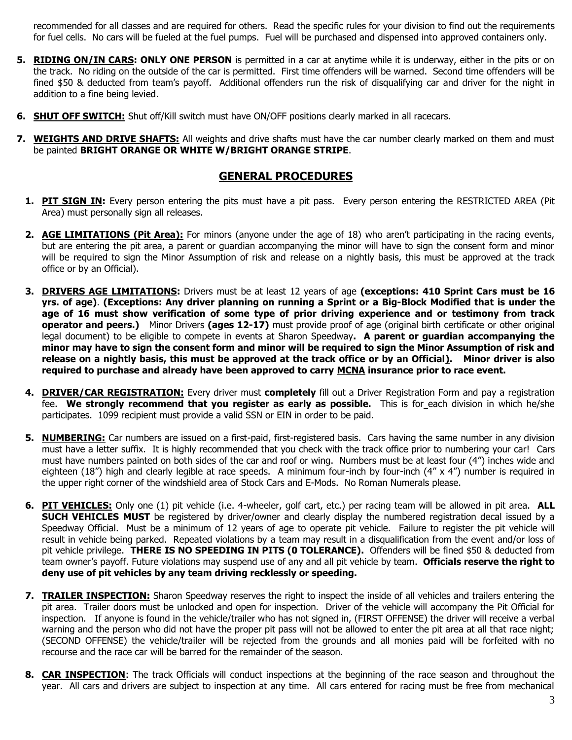recommended for all classes and are required for others. Read the specific rules for your division to find out the requirements for fuel cells. No cars will be fueled at the fuel pumps. Fuel will be purchased and dispensed into approved containers only.

- **5. RIDING ON/IN CARS: ONLY ONE PERSON** is permitted in a car at anytime while it is underway, either in the pits or on the track. No riding on the outside of the car is permitted. First time offenders will be warned. Second time offenders will be fined \$50 & deducted from team's payoff. Additional offenders run the risk of disqualifying car and driver for the night in addition to a fine being levied.
- **6. SHUT OFF SWITCH:** Shut off/Kill switch must have ON/OFF positions clearly marked in all racecars.
- **7. WEIGHTS AND DRIVE SHAFTS:** All weights and drive shafts must have the car number clearly marked on them and must be painted **BRIGHT ORANGE OR WHITE W/BRIGHT ORANGE STRIPE**.

## **GENERAL PROCEDURES**

- **1. PIT SIGN IN:** Every person entering the pits must have a pit pass. Every person entering the RESTRICTED AREA (Pit Area) must personally sign all releases.
- **2. AGE LIMITATIONS (Pit Area):** For minors (anyone under the age of 18) who aren't participating in the racing events, but are entering the pit area, a parent or guardian accompanying the minor will have to sign the consent form and minor will be required to sign the Minor Assumption of risk and release on a nightly basis, this must be approved at the track office or by an Official).
- **3. DRIVERS AGE LIMITATIONS:** Drivers must be at least 12 years of age **(exceptions: 410 Sprint Cars must be 16 yrs. of age)**. **(Exceptions: Any driver planning on running a Sprint or a Big-Block Modified that is under the age of 16 must show verification of some type of prior driving experience and or testimony from track operator and peers.)** Minor Drivers **(ages 12-17)** must provide proof of age (original birth certificate or other original legal document) to be eligible to compete in events at Sharon Speedway**. A parent or guardian accompanying the minor may have to sign the consent form and minor will be required to sign the Minor Assumption of risk and release on a nightly basis, this must be approved at the track office or by an Official). Minor driver is also required to purchase and already have been approved to carry MCNA insurance prior to race event.**
- **4. DRIVER/CAR REGISTRATION:** Every driver must **completely** fill out a Driver Registration Form and pay a registration fee. **We strongly recommend that you register as early as possible.** This is for each division in which he/she participates. 1099 recipient must provide a valid SSN or EIN in order to be paid.
- **5. NUMBERING:** Car numbers are issued on a first-paid, first-registered basis. Cars having the same number in any division must have a letter suffix. It is highly recommended that you check with the track office prior to numbering your car! Cars must have numbers painted on both sides of the car and roof or wing. Numbers must be at least four (4") inches wide and eighteen (18") high and clearly legible at race speeds. A minimum four-inch by four-inch (4" x 4") number is required in the upper right corner of the windshield area of Stock Cars and E-Mods. No Roman Numerals please.
- **6. PIT VEHICLES:** Only one (1) pit vehicle (i.e. 4-wheeler, golf cart, etc.) per racing team will be allowed in pit area. **ALL SUCH VEHICLES MUST** be registered by driver/owner and clearly display the numbered registration decal issued by a Speedway Official. Must be a minimum of 12 years of age to operate pit vehicle. Failure to register the pit vehicle will result in vehicle being parked. Repeated violations by a team may result in a disqualification from the event and/or loss of pit vehicle privilege. **THERE IS NO SPEEDING IN PITS (0 TOLERANCE).** Offenders will be fined \$50 & deducted from team owner's payoff. Future violations may suspend use of any and all pit vehicle by team. **Officials reserve the right to deny use of pit vehicles by any team driving recklessly or speeding.**
- **7. TRAILER INSPECTION:** Sharon Speedway reserves the right to inspect the inside of all vehicles and trailers entering the pit area. Trailer doors must be unlocked and open for inspection. Driver of the vehicle will accompany the Pit Official for inspection. If anyone is found in the vehicle/trailer who has not signed in, (FIRST OFFENSE) the driver will receive a verbal warning and the person who did not have the proper pit pass will not be allowed to enter the pit area at all that race night; (SECOND OFFENSE) the vehicle/trailer will be rejected from the grounds and all monies paid will be forfeited with no recourse and the race car will be barred for the remainder of the season.
- **8. CAR INSPECTION**: The track Officials will conduct inspections at the beginning of the race season and throughout the year. All cars and drivers are subject to inspection at any time. All cars entered for racing must be free from mechanical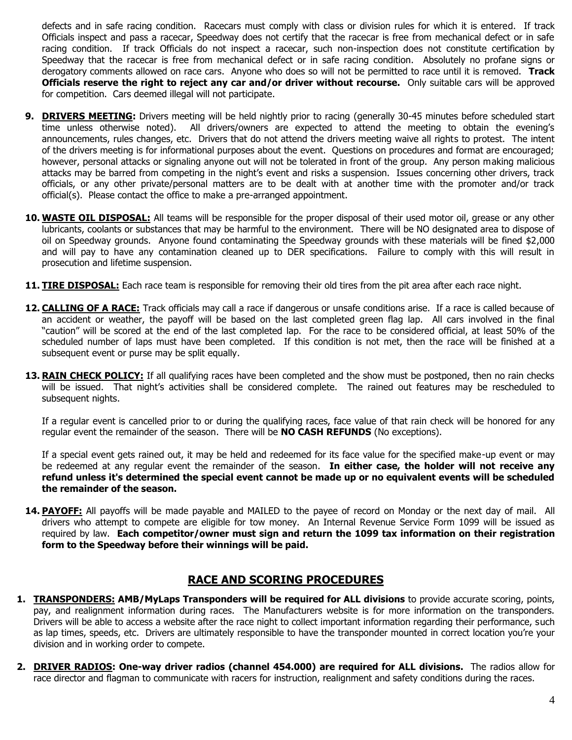defects and in safe racing condition. Racecars must comply with class or division rules for which it is entered. If track Officials inspect and pass a racecar, Speedway does not certify that the racecar is free from mechanical defect or in safe racing condition. If track Officials do not inspect a racecar, such non-inspection does not constitute certification by Speedway that the racecar is free from mechanical defect or in safe racing condition. Absolutely no profane signs or derogatory comments allowed on race cars. Anyone who does so will not be permitted to race until it is removed. **Track Officials reserve the right to reject any car and/or driver without recourse.** Only suitable cars will be approved for competition. Cars deemed illegal will not participate.

- **9. DRIVERS MEETING:** Drivers meeting will be held nightly prior to racing (generally 30-45 minutes before scheduled start time unless otherwise noted). All drivers/owners are expected to attend the meeting to obtain the evening's announcements, rules changes, etc. Drivers that do not attend the drivers meeting waive all rights to protest. The intent of the drivers meeting is for informational purposes about the event. Questions on procedures and format are encouraged; however, personal attacks or signaling anyone out will not be tolerated in front of the group. Any person making malicious attacks may be barred from competing in the night's event and risks a suspension. Issues concerning other drivers, track officials, or any other private/personal matters are to be dealt with at another time with the promoter and/or track official(s). Please contact the office to make a pre-arranged appointment.
- **10. WASTE OIL DISPOSAL:** All teams will be responsible for the proper disposal of their used motor oil, grease or any other lubricants, coolants or substances that may be harmful to the environment. There will be NO designated area to dispose of oil on Speedway grounds. Anyone found contaminating the Speedway grounds with these materials will be fined \$2,000 and will pay to have any contamination cleaned up to DER specifications. Failure to comply with this will result in prosecution and lifetime suspension.
- **11. TIRE DISPOSAL:** Each race team is responsible for removing their old tires from the pit area after each race night.
- **12. CALLING OF A RACE:** Track officials may call a race if dangerous or unsafe conditions arise. If a race is called because of an accident or weather, the payoff will be based on the last completed green flag lap. All cars involved in the final "caution" will be scored at the end of the last completed lap. For the race to be considered official, at least 50% of the scheduled number of laps must have been completed. If this condition is not met, then the race will be finished at a subsequent event or purse may be split equally.
- **13. RAIN CHECK POLICY:** If all qualifying races have been completed and the show must be postponed, then no rain checks will be issued. That night's activities shall be considered complete. The rained out features may be rescheduled to subsequent nights.

If a regular event is cancelled prior to or during the qualifying races, face value of that rain check will be honored for any regular event the remainder of the season. There will be **NO CASH REFUNDS** (No exceptions).

If a special event gets rained out, it may be held and redeemed for its face value for the specified make-up event or may be redeemed at any regular event the remainder of the season. **In either case, the holder will not receive any refund unless it's determined the special event cannot be made up or no equivalent events will be scheduled the remainder of the season.**

**14. PAYOFF:** All payoffs will be made payable and MAILED to the payee of record on Monday or the next day of mail. All drivers who attempt to compete are eligible for tow money. An Internal Revenue Service Form 1099 will be issued as required by law. **Each competitor/owner must sign and return the 1099 tax information on their registration form to the Speedway before their winnings will be paid.**

### **RACE AND SCORING PROCEDURES**

- **1. TRANSPONDERS: AMB/MyLaps Transponders will be required for ALL divisions** to provide accurate scoring, points, pay, and realignment information during races. The Manufacturers website is for more information on the transponders. Drivers will be able to access a website after the race night to collect important information regarding their performance, such as lap times, speeds, etc. Drivers are ultimately responsible to have the transponder mounted in correct location you're your division and in working order to compete.
- **2. DRIVER RADIOS: One-way driver radios (channel 454.000) are required for ALL divisions.** The radios allow for race director and flagman to communicate with racers for instruction, realignment and safety conditions during the races.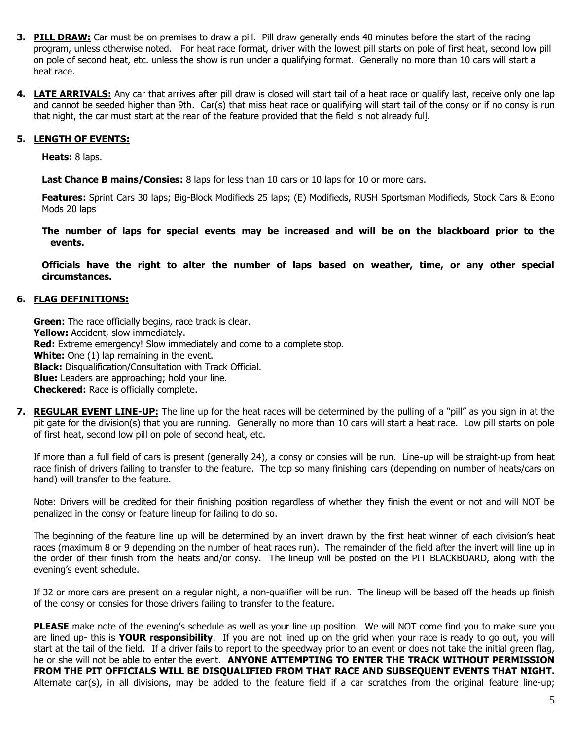- **3. PILL DRAW:** Car must be on premises to draw a pill. Pill draw generally ends 40 minutes before the start of the racing program, unless otherwise noted. For heat race format, driver with the lowest pill starts on pole of first heat, second low pill on pole of second heat, etc. unless the show is run under a qualifying format. Generally no more than 10 cars will start a heat race.
- **4. LATE ARRIVALS:** Any car that arrives after pill draw is closed will start tail of a heat race or qualify last, receive only one lap and cannot be seeded higher than 9th. Car(s) that miss heat race or qualifying will start tail of the consy or if no consy is run that night, the car must start at the rear of the feature provided that the field is not already full.

#### **5. LENGTH OF EVENTS:**

**Heats:** 8 laps.

**Last Chance B mains/Consies:** 8 laps for less than 10 cars or 10 laps for 10 or more cars.

**Features:** Sprint Cars 30 laps; Big-Block Modifieds 25 laps; (E) Modifieds, RUSH Sportsman Modifieds, Stock Cars & Econo Mods 20 laps

**The number of laps for special events may be increased and will be on the blackboard prior to the events.**

**Officials have the right to alter the number of laps based on weather, time, or any other special circumstances.**

#### **6. FLAG DEFINITIONS:**

**Green:** The race officially begins, race track is clear. Yellow: Accident, slow immediately. **Red:** Extreme emergency! Slow immediately and come to a complete stop. **White:** One (1) lap remaining in the event. **Black:** Disqualification/Consultation with Track Official. **Blue:** Leaders are approaching; hold your line. **Checkered:** Race is officially complete.

**7. REGULAR EVENT LINE-UP:** The line up for the heat races will be determined by the pulling of a "pill" as you sign in at the pit gate for the division(s) that you are running. Generally no more than 10 cars will start a heat race. Low pill starts on pole of first heat, second low pill on pole of second heat, etc.

If more than a full field of cars is present (generally 24), a consy or consies will be run. Line-up will be straight-up from heat race finish of drivers failing to transfer to the feature. The top so many finishing cars (depending on number of heats/cars on hand) will transfer to the feature.

Note: Drivers will be credited for their finishing position regardless of whether they finish the event or not and will NOT be penalized in the consy or feature lineup for failing to do so.

The beginning of the feature line up will be determined by an invert drawn by the first heat winner of each division's heat races (maximum 8 or 9 depending on the number of heat races run). The remainder of the field after the invert will line up in the order of their finish from the heats and/or consy. The lineup will be posted on the PIT BLACKBOARD, along with the evening's event schedule.

If 32 or more cars are present on a regular night, a non-qualifier will be run. The lineup will be based off the heads up finish of the consy or consies for those drivers failing to transfer to the feature.

**PLEASE** make note of the evening's schedule as well as your line up position. We will NOT come find you to make sure you are lined up- this is **YOUR responsibility**. If you are not lined up on the grid when your race is ready to go out, you will start at the tail of the field. If a driver fails to report to the speedway prior to an event or does not take the initial green flag, he or she will not be able to enter the event. **ANYONE ATTEMPTING TO ENTER THE TRACK WITHOUT PERMISSION FROM THE PIT OFFICIALS WILL BE DISQUALIFIED FROM THAT RACE AND SUBSEQUENT EVENTS THAT NIGHT.** Alternate car(s), in all divisions, may be added to the feature field if a car scratches from the original feature line-up;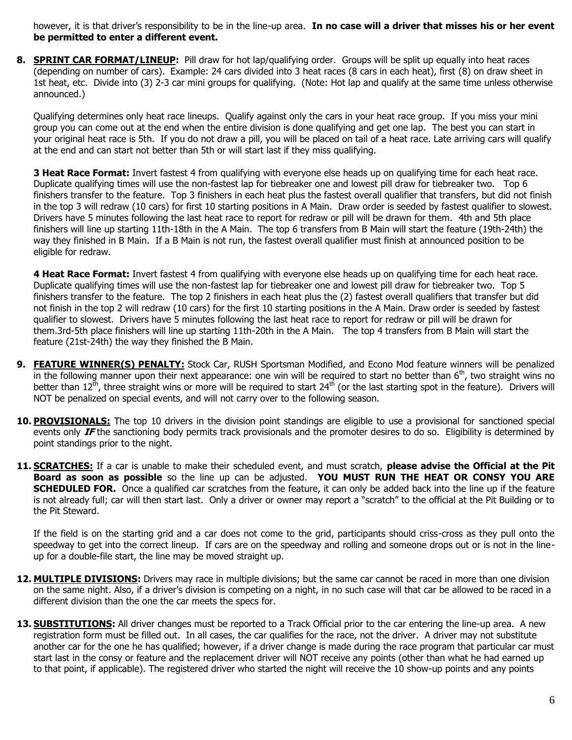however, it is that driver's responsibility to be in the line-up area. **In no case will a driver that misses his or her event be permitted to enter a different event.**

**8. SPRINT CAR FORMAT/LINEUP:** Pill draw for hot lap/qualifying order. Groups will be split up equally into heat races (depending on number of cars).Example: 24 cars divided into 3 heat races (8 cars in each heat), first (8) on draw sheet in 1st heat, etc. Divide into (3) 2-3 car mini groups for qualifying. (Note: Hot lap and qualify at the same time unless otherwise announced.)

Qualifying determines only heat race lineups. Qualify against only the cars in your heat race group. If you miss your mini group you can come out at the end when the entire division is done qualifying and get one lap. The best you can start in your original heat race is 5th. If you do not draw a pill, you will be placed on tail of a heat race. Late arriving cars will qualify at the end and can start not better than 5th or will start last if they miss qualifying.

**3 Heat Race Format:** Invert fastest 4 from qualifying with everyone else heads up on qualifying time for each heat race. Duplicate qualifying times will use the non-fastest lap for tiebreaker one and lowest pill draw for tiebreaker two. Top 6 finishers transfer to the feature. Top 3 finishers in each heat plus the fastest overall qualifier that transfers, but did not finish in the top 3 will redraw (10 cars) for first 10 starting positions in A Main. Draw order is seeded by fastest qualifier to slowest. Drivers have 5 minutes following the last heat race to report for redraw or pill will be drawn for them. 4th and 5th place finishers will line up starting 11th-18th in the A Main.The top 6 transfers from B Main will start the feature (19th-24th) the way they finished in B Main. If a B Main is not run, the fastest overall qualifier must finish at announced position to be eligible for redraw.

**4 Heat Race Format:** Invert fastest 4 from qualifying with everyone else heads up on qualifying time for each heat race. Duplicate qualifying times will use the non-fastest lap for tiebreaker one and lowest pill draw for tiebreaker two. Top 5 finishers transfer to the feature. The top 2 finishers in each heat plus the (2) fastest overall qualifiers that transfer but did not finish in the top 2 will redraw (10 cars) for the first 10 starting positions in the A Main. Draw order is seeded by fastest qualifier to slowest. Drivers have 5 minutes following the last heat race to report for redraw or pill will be drawn for them.3rd-5th place finishers will line up starting 11th-20th in the A Main. The top 4 transfers from B Main will start the feature (21st-24th) the way they finished the B Main.

- **9. FEATURE WINNER(S) PENALTY:** Stock Car, RUSH Sportsman Modified, and Econo Mod feature winners will be penalized in the following manner upon their next appearance: one win will be required to start no better than  $6<sup>th</sup>$ , two straight wins no better than 12<sup>th</sup>, three straight wins or more will be required to start 24<sup>th</sup> (or the last starting spot in the feature). Drivers will NOT be penalized on special events, and will not carry over to the following season.
- 10. **PROVISIONALS:** The top 10 drivers in the division point standings are eligible to use a provisional for sanctioned special events only **IF** the sanctioning body permits track provisionals and the promoter desires to do so. Eligibility is determined by point standings prior to the night.
- **11. SCRATCHES:** If a car is unable to make their scheduled event, and must scratch, **please advise the Official at the Pit Board as soon as possible** so the line up can be adjusted. **YOU MUST RUN THE HEAT OR CONSY YOU ARE SCHEDULED FOR.** Once a qualified car scratches from the feature, it can only be added back into the line up if the feature is not already full; car will then start last. Only a driver or owner may report a "scratch" to the official at the Pit Building or to the Pit Steward.

If the field is on the starting grid and a car does not come to the grid, participants should criss-cross as they pull onto the speedway to get into the correct lineup. If cars are on the speedway and rolling and someone drops out or is not in the lineup for a double-file start, the line may be moved straight up.

- 12. MULTIPLE DIVISIONS: Drivers may race in multiple divisions; but the same car cannot be raced in more than one division on the same night. Also, if a driver's division is competing on a night, in no such case will that car be allowed to be raced in a different division than the one the car meets the specs for.
- **13. SUBSTITUTIONS:** All driver changes must be reported to a Track Official prior to the car entering the line-up area. A new registration form must be filled out. In all cases, the car qualifies for the race, not the driver. A driver may not substitute another car for the one he has qualified; however, if a driver change is made during the race program that particular car must start last in the consy or feature and the replacement driver will NOT receive any points (other than what he had earned up to that point, if applicable). The registered driver who started the night will receive the 10 show-up points and any points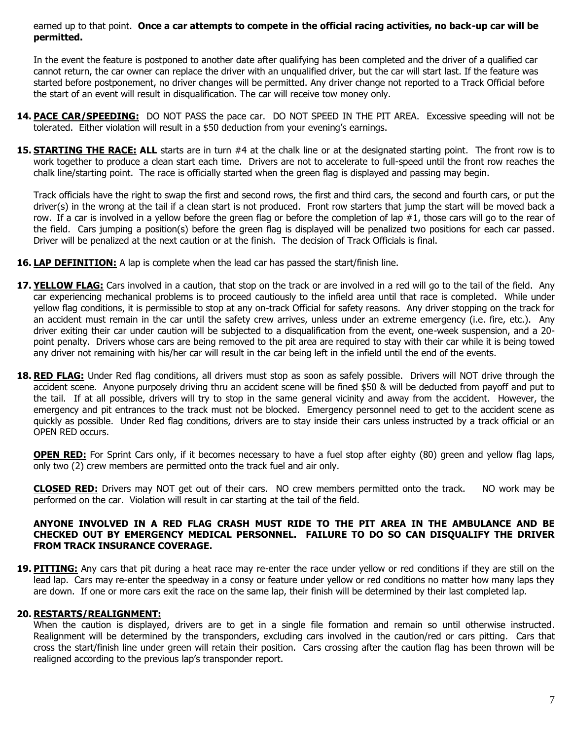earned up to that point. **Once a car attempts to compete in the official racing activities, no back-up car will be permitted.**

In the event the feature is postponed to another date after qualifying has been completed and the driver of a qualified car cannot return, the car owner can replace the driver with an unqualified driver, but the car will start last. If the feature was started before postponement, no driver changes will be permitted. Any driver change not reported to a Track Official before the start of an event will result in disqualification. The car will receive tow money only.

- **14. PACE CAR/SPEEDING:** DO NOT PASS the pace car. DO NOT SPEED IN THE PIT AREA. Excessive speeding will not be tolerated. Either violation will result in a \$50 deduction from your evening's earnings.
- **15. <b>STARTING THE RACE: ALL** starts are in turn #4 at the chalk line or at the designated starting point. The front row is to work together to produce a clean start each time. Drivers are not to accelerate to full-speed until the front row reaches the chalk line/starting point. The race is officially started when the green flag is displayed and passing may begin.

Track officials have the right to swap the first and second rows, the first and third cars, the second and fourth cars, or put the driver(s) in the wrong at the tail if a clean start is not produced. Front row starters that jump the start will be moved back a row. If a car is involved in a yellow before the green flag or before the completion of lap #1, those cars will go to the rear of the field. Cars jumping a position(s) before the green flag is displayed will be penalized two positions for each car passed. Driver will be penalized at the next caution or at the finish. The decision of Track Officials is final.

- **16. LAP DEFINITION:** A lap is complete when the lead car has passed the start/finish line.
- **17. YELLOW FLAG:** Cars involved in a caution, that stop on the track or are involved in a red will go to the tail of the field. Any car experiencing mechanical problems is to proceed cautiously to the infield area until that race is completed. While under yellow flag conditions, it is permissible to stop at any on-track Official for safety reasons. Any driver stopping on the track for an accident must remain in the car until the safety crew arrives, unless under an extreme emergency (i.e. fire, etc.). Any driver exiting their car under caution will be subjected to a disqualification from the event, one-week suspension, and a 20 point penalty. Drivers whose cars are being removed to the pit area are required to stay with their car while it is being towed any driver not remaining with his/her car will result in the car being left in the infield until the end of the events.
- 18. RED FLAG: Under Red flag conditions, all drivers must stop as soon as safely possible. Drivers will NOT drive through the accident scene. Anyone purposely driving thru an accident scene will be fined \$50 & will be deducted from payoff and put to the tail. If at all possible, drivers will try to stop in the same general vicinity and away from the accident. However, the emergency and pit entrances to the track must not be blocked. Emergency personnel need to get to the accident scene as quickly as possible. Under Red flag conditions, drivers are to stay inside their cars unless instructed by a track official or an OPEN RED occurs.

**OPEN RED:** For Sprint Cars only, if it becomes necessary to have a fuel stop after eighty (80) green and yellow flag laps, only two (2) crew members are permitted onto the track fuel and air only.

**CLOSED RED:** Drivers may NOT get out of their cars. NO crew members permitted onto the track. NO work may be performed on the car. Violation will result in car starting at the tail of the field.

#### **ANYONE INVOLVED IN A RED FLAG CRASH MUST RIDE TO THE PIT AREA IN THE AMBULANCE AND BE CHECKED OUT BY EMERGENCY MEDICAL PERSONNEL. FAILURE TO DO SO CAN DISQUALIFY THE DRIVER FROM TRACK INSURANCE COVERAGE.**

**19. PITTING:** Any cars that pit during a heat race may re-enter the race under yellow or red conditions if they are still on the lead lap. Cars may re-enter the speedway in a consy or feature under yellow or red conditions no matter how many laps they are down. If one or more cars exit the race on the same lap, their finish will be determined by their last completed lap.

#### **20. RESTARTS/REALIGNMENT:**

When the caution is displayed, drivers are to get in a single file formation and remain so until otherwise instructed. Realignment will be determined by the transponders, excluding cars involved in the caution/red or cars pitting. Cars that cross the start/finish line under green will retain their position. Cars crossing after the caution flag has been thrown will be realigned according to the previous lap's transponder report.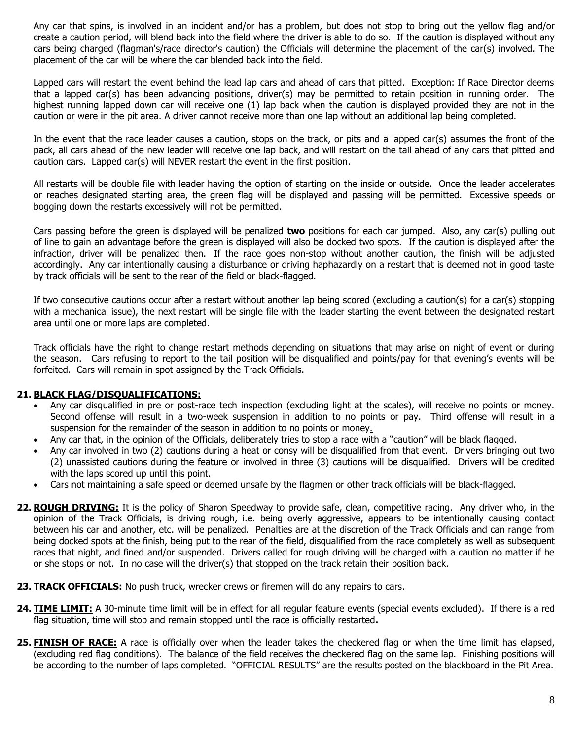Any car that spins, is involved in an incident and/or has a problem, but does not stop to bring out the yellow flag and/or create a caution period, will blend back into the field where the driver is able to do so. If the caution is displayed without any cars being charged (flagman's/race director's caution) the Officials will determine the placement of the car(s) involved. The placement of the car will be where the car blended back into the field.

Lapped cars will restart the event behind the lead lap cars and ahead of cars that pitted. Exception: If Race Director deems that a lapped car(s) has been advancing positions, driver(s) may be permitted to retain position in running order. The highest running lapped down car will receive one (1) lap back when the caution is displayed provided they are not in the caution or were in the pit area. A driver cannot receive more than one lap without an additional lap being completed.

In the event that the race leader causes a caution, stops on the track, or pits and a lapped car(s) assumes the front of the pack, all cars ahead of the new leader will receive one lap back, and will restart on the tail ahead of any cars that pitted and caution cars. Lapped car(s) will NEVER restart the event in the first position.

All restarts will be double file with leader having the option of starting on the inside or outside. Once the leader accelerates or reaches designated starting area, the green flag will be displayed and passing will be permitted. Excessive speeds or bogging down the restarts excessively will not be permitted.

Cars passing before the green is displayed will be penalized **two** positions for each car jumped. Also, any car(s) pulling out of line to gain an advantage before the green is displayed will also be docked two spots. If the caution is displayed after the infraction, driver will be penalized then. If the race goes non-stop without another caution, the finish will be adjusted accordingly. Any car intentionally causing a disturbance or driving haphazardly on a restart that is deemed not in good taste by track officials will be sent to the rear of the field or black-flagged.

If two consecutive cautions occur after a restart without another lap being scored (excluding a caution(s) for a car(s) stopping with a mechanical issue), the next restart will be single file with the leader starting the event between the designated restart area until one or more laps are completed.

Track officials have the right to change restart methods depending on situations that may arise on night of event or during the season. Cars refusing to report to the tail position will be disqualified and points/pay for that evening's events will be forfeited. Cars will remain in spot assigned by the Track Officials.

#### **21. BLACK FLAG/DISQUALIFICATIONS:**

- Any car disqualified in pre or post-race tech inspection (excluding light at the scales), will receive no points or money. Second offense will result in a two-week suspension in addition to no points or pay. Third offense will result in a suspension for the remainder of the season in addition to no points or money.
- Any car that, in the opinion of the Officials, deliberately tries to stop a race with a "caution" will be black flagged.
- Any car involved in two (2) cautions during a heat or consy will be disqualified from that event. Drivers bringing out two (2) unassisted cautions during the feature or involved in three (3) cautions will be disqualified. Drivers will be credited with the laps scored up until this point.
- Cars not maintaining a safe speed or deemed unsafe by the flagmen or other track officials will be black-flagged.
- **22. ROUGH DRIVING:** It is the policy of Sharon Speedway to provide safe, clean, competitive racing. Any driver who, in the opinion of the Track Officials, is driving rough, i.e. being overly aggressive, appears to be intentionally causing contact between his car and another, etc. will be penalized. Penalties are at the discretion of the Track Officials and can range from being docked spots at the finish, being put to the rear of the field, disqualified from the race completely as well as subsequent races that night, and fined and/or suspended. Drivers called for rough driving will be charged with a caution no matter if he or she stops or not. In no case will the driver(s) that stopped on the track retain their position back.
- 23. TRACK OFFICIALS: No push truck, wrecker crews or firemen will do any repairs to cars.
- **24. TIME LIMIT:** A 30-minute time limit will be in effect for all regular feature events (special events excluded). If there is a red flag situation, time will stop and remain stopped until the race is officially restarted**.**
- **25. FINISH OF RACE:** A race is officially over when the leader takes the checkered flag or when the time limit has elapsed, (excluding red flag conditions). The balance of the field receives the checkered flag on the same lap. Finishing positions will be according to the number of laps completed. "OFFICIAL RESULTS" are the results posted on the blackboard in the Pit Area.